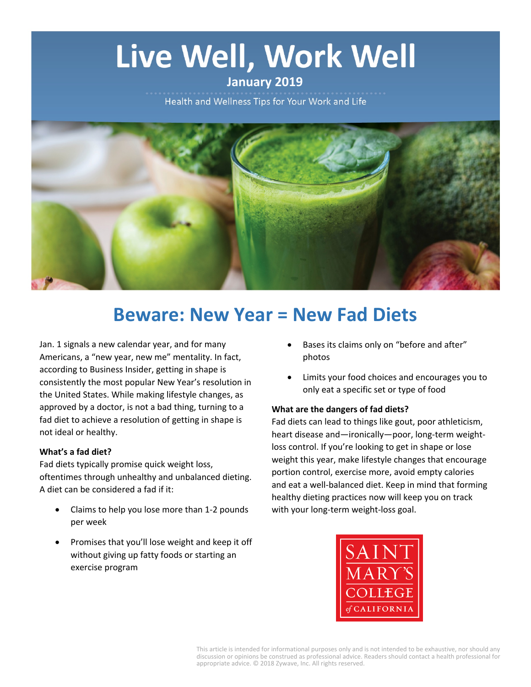# Live Well, Work Well

# **January 2019**

Health and Wellness Tips for Your Work and Life



# **Beware: New Year = New Fad Diets**

Jan. 1 signals a new calendar year, and for many Americans, a "new year, new me" mentality. In fact, according to Business Insider, getting in shape is consistently the most popular New Year's resolution in the United States. While making lifestyle changes, as approved by a doctor, is not a bad thing, turning to a fad diet to achieve a resolution of getting in shape is not ideal or healthy.

#### **What's a fad diet?**

Fad diets typically promise quick weight loss, oftentimes through unhealthy and unbalanced dieting. A diet can be considered a fad if it:

- Claims to help you lose more than 1-2 pounds per week
- Promises that you'll lose weight and keep it off without giving up fatty foods or starting an exercise program
- Bases its claims only on "before and after" photos
- Limits your food choices and encourages you to only eat a specific set or type of food

#### **What are the dangers of fad diets?**

Fad diets can lead to things like gout, poor athleticism, heart disease and—ironically—poor, long-term weightloss control. If you're looking to get in shape or lose weight this year, make lifestyle changes that encourage portion control, exercise more, avoid empty calories and eat a well-balanced diet. Keep in mind that forming healthy dieting practices now will keep you on track with your long-term weight-loss goal.